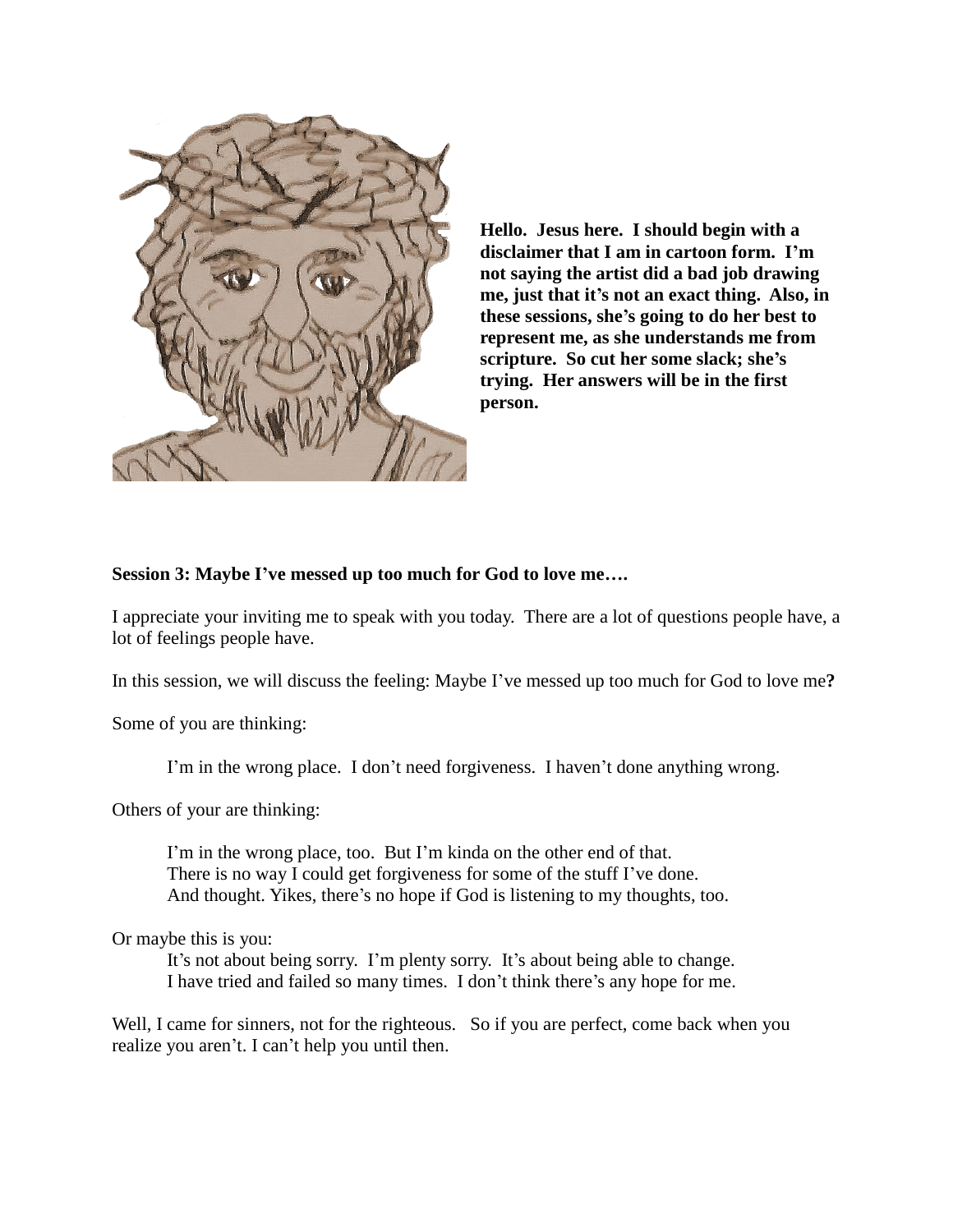

**Hello. Jesus here. I should begin with a disclaimer that I am in cartoon form. I'm not saying the artist did a bad job drawing me, just that it's not an exact thing. Also, in these sessions, she's going to do her best to represent me, as she understands me from scripture. So cut her some slack; she's trying. Her answers will be in the first person.** 

## **Session 3: Maybe I've messed up too much for God to love me….**

I appreciate your inviting me to speak with you today. There are a lot of questions people have, a lot of feelings people have.

In this session, we will discuss the feeling: Maybe I've messed up too much for God to love me**?**

Some of you are thinking:

I'm in the wrong place. I don't need forgiveness. I haven't done anything wrong.

Others of your are thinking:

I'm in the wrong place, too. But I'm kinda on the other end of that. There is no way I could get forgiveness for some of the stuff I've done. And thought. Yikes, there's no hope if God is listening to my thoughts, too.

Or maybe this is you:

It's not about being sorry. I'm plenty sorry. It's about being able to change. I have tried and failed so many times. I don't think there's any hope for me.

Well, I came for sinners, not for the righteous. So if you are perfect, come back when you realize you aren't. I can't help you until then.